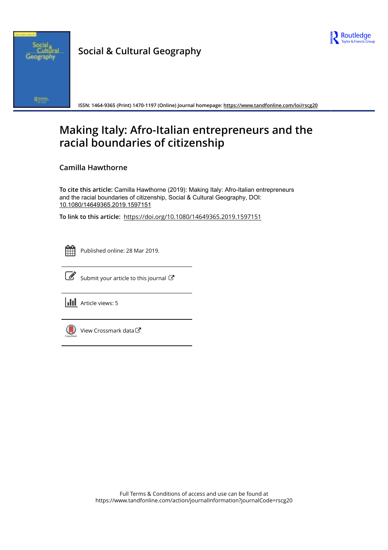



Social & Cultural Geography

ISSN: 1464-9365 (Print) 1470-1197 (Online) Journal homepage: https://www.tandfonline.com/loi/rscg20

# Making Italy: Afro-Italian entrepreneurs and the racial boundaries of citizenship

Camilla Hawthorne

To cite this article: Camilla Hawthorne (2019): Making Italy: Afro-Italian entrepreneurs and the racial boundaries of citizenship, Social & Cultural Geography, DOI: 10.1080/14649365.2019.1597151

To link to this article: https://doi.org/10.1080/14649365.2019.1597151



Published online: 28 Mar 2019.



 $\overline{\mathscr{L}}$  Submit your article to this journal  $\mathbb{Z}$ 

**III** Article views: 5



 $\bigcirc$  View Crossmark data  $\mathbb{Z}$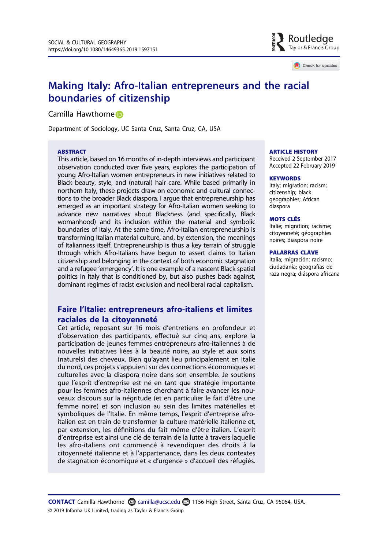

Check for updates

# Making Italy: Afro-Italian entrepreneurs and the racial boundaries of citizenship

Camilla Hawthorne<sup>D</sup>

Department of Sociology, UC Santa Cruz, Santa Cruz, CA, USA

#### ABSTRACT

This article, based on 16 months of in-depth interviews and participant observation conducted over five years, explores the participation of young Afro-Italian women entrepreneurs in new initiatives related to Black beauty, style, and (natural) hair care. While based primarily in northern Italy, these projects draw on economic and cultural connections to the broader Black diaspora. I argue that entrepreneurship has emerged as an important strategy for Afro-Italian women seeking to advance new narratives about Blackness (and specifically, Black womanhood) and its inclusion within the material and symbolic boundaries of Italy. At the same time, Afro-Italian entrepreneurship is transforming Italian material culture, and, by extension, the meanings of Italianness itself. Entrepreneurship is thus a key terrain of struggle through which Afro-Italians have begun to assert claims to Italian citizenship and belonging in the context of both economic stagnation and a refugee 'emergency'. It is one example of a nascent Black spatial politics in Italy that is conditioned by, but also pushes back against, dominant regimes of racist exclusion and neoliberal racial capitalism.

### Faire l'Italie: entrepreneurs afro-italiens et limites raciales de la citoyenneté

Cet article, reposant sur 16 mois d'entretiens en profondeur et d'observation des participants, effectué sur cinq ans, explore la participation de jeunes femmes entrepreneurs afro-italiennes à de nouvelles initiatives liées à la beauté noire, au style et aux soins (naturels) des cheveux. Bien qu'ayant lieu principalement en Italie du nord, ces projets s'appuient sur des connections économiques et culturelles avec la diaspora noire dans son ensemble. Je soutiens que l'esprit d'entreprise est né en tant que stratégie importante pour les femmes afro-italiennes cherchant à faire avancer les nouveaux discours sur la négritude (et en particulier le fait d'être une femme noire) et son inclusion au sein des limites matérielles et symboliques de l'Italie. En même temps, l'esprit d'entreprise afroitalien est en train de transformer la culture matérielle italienne et, par extension, les définitions du fait même d'être italien. L'esprit d'entreprise est ainsi une clé de terrain de la lutte à travers laquelle les afro-italiens ont commencé à revendiquer des droits à la citoyenneté italienne et à l'appartenance, dans les deux contextes de stagnation économique et « d'urgence » d'accueil des réfugiés.

#### ARTICLE HISTORY

Received 2 September 2017 Accepted 22 February 2019

#### **KEYWORDS**

Italy; migration; racism; citizenship; black geographies; African diaspora

#### MOTS CLÉS

Italie; migration; racisme; citoyenneté; géographies noires; diaspora noire

#### PALABRAS CLAVE

Italia; migración; racismo; ciudadanía; geografías de raza negra; diáspora africana

CONTACT Camilla Hawthorne a camilla@ucsc.edu 1156 High Street, Santa Cruz, CA 95064, USA. © 2019 Informa UK Limited, trading as Taylor & Francis Group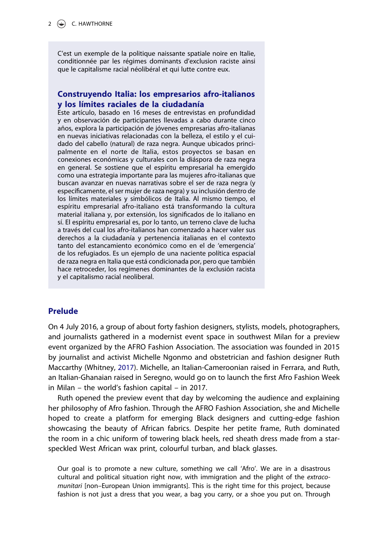C'est un exemple de la politique naissante spatiale noire en Italie, conditionnée par les régimes dominants d'exclusion raciste ainsi que le capitalisme racial néolibéral et qui lutte contre eux.

# Construyendo Italia: los empresarios afro-italianos y los límites raciales de la ciudadanía

Este artículo, basado en 16 meses de entrevistas en profundidad y en observación de participantes llevadas a cabo durante cinco años, explora la participación de jóvenes empresarias afro-italianas en nuevas iniciativas relacionadas con la belleza, el estilo y el cuidado del cabello (natural) de raza negra. Aunque ubicados principalmente en el norte de Italia, estos proyectos se basan en conexiones económicas y culturales con la diáspora de raza negra en general. Se sostiene que el espíritu empresarial ha emergido como una estrategia importante para las mujeres afro-italianas que buscan avanzar en nuevas narrativas sobre el ser de raza negra (y específicamente, el ser mujer de raza negra) y su inclusión dentro de los límites materiales y simbólicos de Italia. Al mismo tiempo, el espíritu empresarial afro-italiano está transformando la cultura material italiana y, por extensión, los significados de lo italiano en sí. El espíritu empresarial es, por lo tanto, un terreno clave de lucha a través del cual los afro-italianos han comenzado a hacer valer sus derechos a la ciudadanía y pertenencia italianas en el contexto tanto del estancamiento económico como en el de 'emergencia' de los refugiados. Es un ejemplo de una naciente política espacial de raza negra en Italia que está condicionada por, pero que también hace retroceder, los regímenes dominantes de la exclusión racista y el capitalismo racial neoliberal.

# Prelude

On 4 July 2016, a group of about forty fashion designers, stylists, models, photographers, and journalists gathered in a modernist event space in southwest Milan for a preview event organized by the AFRO Fashion Association. The association was founded in 2015 by journalist and activist Michelle Ngonmo and obstetrician and fashion designer Ruth Maccarthy (Whitney, 2017). Michelle, an Italian-Cameroonian raised in Ferrara, and Ruth, an Italian-Ghanaian raised in Seregno, would go on to launch the first Afro Fashion Week in Milan – the world's fashion capital – in 2017.

Ruth opened the preview event that day by welcoming the audience and explaining her philosophy of Afro fashion. Through the AFRO Fashion Association, she and Michelle hoped to create a platform for emerging Black designers and cutting-edge fashion showcasing the beauty of African fabrics. Despite her petite frame, Ruth dominated the room in a chic uniform of towering black heels, red sheath dress made from a starspeckled West African wax print, colourful turban, and black glasses.

Our goal is to promote a new culture, something we call 'Afro'. We are in a disastrous cultural and political situation right now, with immigration and the plight of the extracomunitari [non–European Union immigrants]. This is the right time for this project, because fashion is not just a dress that you wear, a bag you carry, or a shoe you put on. Through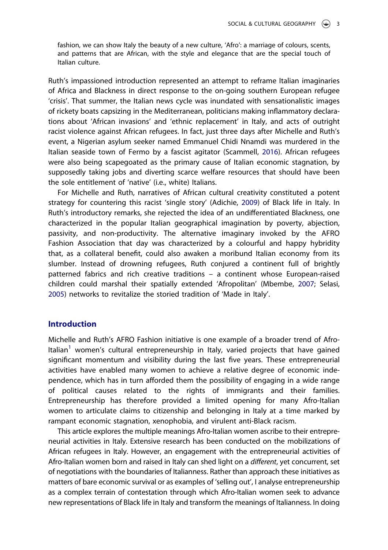fashion, we can show Italy the beauty of a new culture, 'Afro': a marriage of colours, scents, and patterns that are African, with the style and elegance that are the special touch of Italian culture.

Ruth's impassioned introduction represented an attempt to reframe Italian imaginaries of Africa and Blackness in direct response to the on-going southern European refugee 'crisis'. That summer, the Italian news cycle was inundated with sensationalistic images of rickety boats capsizing in the Mediterranean, politicians making inflammatory declarations about 'African invasions' and 'ethnic replacement' in Italy, and acts of outright racist violence against African refugees. In fact, just three days after Michelle and Ruth's event, a Nigerian asylum seeker named Emmanuel Chidi Nnamdi was murdered in the Italian seaside town of Fermo by a fascist agitator (Scammell, 2016). African refugees were also being scapegoated as the primary cause of Italian economic stagnation, by supposedly taking jobs and diverting scarce welfare resources that should have been the sole entitlement of 'native' (i.e., white) Italians.

For Michelle and Ruth, narratives of African cultural creativity constituted a potent strategy for countering this racist 'single story' (Adichie, 2009) of Black life in Italy. In Ruth's introductory remarks, she rejected the idea of an undifferentiated Blackness, one characterized in the popular Italian geographical imagination by poverty, abjection, passivity, and non-productivity. The alternative imaginary invoked by the AFRO Fashion Association that day was characterized by a colourful and happy hybridity that, as a collateral benefit, could also awaken a moribund Italian economy from its slumber. Instead of drowning refugees, Ruth conjured a continent full of brightly patterned fabrics and rich creative traditions – a continent whose European-raised children could marshal their spatially extended 'Afropolitan' (Mbembe, 2007; Selasi, 2005) networks to revitalize the storied tradition of 'Made in Italy'.

#### Introduction

Michelle and Ruth's AFRO Fashion initiative is one example of a broader trend of Afro-Italian<sup>1</sup> women's cultural entrepreneurship in Italy, varied projects that have gained significant momentum and visibility during the last five years. These entrepreneurial activities have enabled many women to achieve a relative degree of economic independence, which has in turn afforded them the possibility of engaging in a wide range of political causes related to the rights of immigrants and their families. Entrepreneurship has therefore provided a limited opening for many Afro-Italian women to articulate claims to citizenship and belonging in Italy at a time marked by rampant economic stagnation, xenophobia, and virulent anti-Black racism.

This article explores the multiple meanings Afro-Italian women ascribe to their entrepreneurial activities in Italy. Extensive research has been conducted on the mobilizations of African refugees in Italy. However, an engagement with the entrepreneurial activities of Afro-Italian women born and raised in Italy can shed light on a *different*, yet concurrent, set of negotiations with the boundaries of Italianness. Rather than approach these initiatives as matters of bare economic survival or as examples of 'selling out', I analyse entrepreneurship as a complex terrain of contestation through which Afro-Italian women seek to advance new representations of Black life in Italy and transform the meanings of Italianness. In doing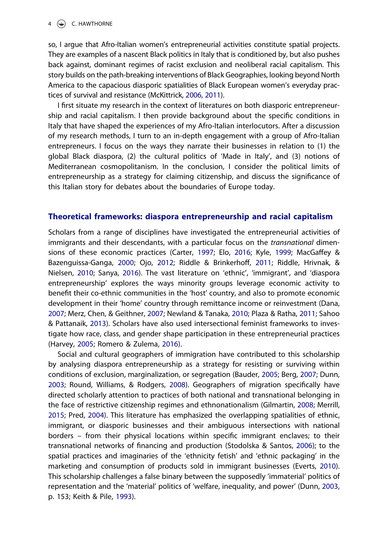so, I argue that Afro-Italian women's entrepreneurial activities constitute spatial projects. They are examples of a nascent Black politics in Italy that is conditioned by, but also pushes back against, dominant regimes of racist exclusion and neoliberal racial capitalism. This story builds on the path-breaking interventions of Black Geographies, looking beyond North America to the capacious diasporic spatialities of Black European women's everyday practices of survival and resistance (McKittrick, 2006, 2011).

I first situate my research in the context of literatures on both diasporic entrepreneurship and racial capitalism. I then provide background about the specific conditions in Italy that have shaped the experiences of my Afro-Italian interlocutors. After a discussion of my research methods, I turn to an in-depth engagement with a group of Afro-Italian entrepreneurs. I focus on the ways they narrate their businesses in relation to (1) the global Black diaspora, (2) the cultural politics of 'Made in Italy', and (3) notions of Mediterranean cosmopolitanism. In the conclusion, I consider the political limits of entrepreneurship as a strategy for claiming citizenship, and discuss the significance of this Italian story for debates about the boundaries of Europe today.

# Theoretical frameworks: diaspora entrepreneurship and racial capitalism

Scholars from a range of disciplines have investigated the entrepreneurial activities of immigrants and their descendants, with a particular focus on the transnational dimensions of these economic practices (Carter, 1997; Elo, 2016; Kyle, 1999; MacGaffey & Bazenguissa-Ganga, 2000; Ojo, 2012; Riddle & Brinkerhoff, 2011; Riddle, Hrivnak, & Nielsen, 2010; Sanya, 2016). The vast literature on 'ethnic', 'immigrant', and 'diaspora entrepreneurship' explores the ways minority groups leverage economic activity to benefit their co-ethnic communities in the 'host' country, and also to promote economic development in their 'home' country through remittance income or reinvestment (Dana, 2007; Merz, Chen, & Geithner, 2007; Newland & Tanaka, 2010; Plaza & Ratha, 2011; Sahoo & Pattanaik, 2013). Scholars have also used intersectional feminist frameworks to investigate how race, class, and gender shape participation in these entrepreneurial practices (Harvey, 2005; Romero & Zulema, 2016).

Social and cultural geographers of immigration have contributed to this scholarship by analysing diaspora entrepreneurship as a strategy for resisting or surviving within conditions of exclusion, marginalization, or segregation (Bauder, 2005; Berg, 2007; Dunn, 2003; Round, Williams, & Rodgers, 2008). Geographers of migration specifically have directed scholarly attention to practices of both national and transnational belonging in the face of restrictive citizenship regimes and ethnonationalism (Gilmartin, 2008; Merrill, 2015; Pred, 2004). This literature has emphasized the overlapping spatialities of ethnic, immigrant, or diasporic businesses and their ambiguous intersections with national borders – from their physical locations within specific immigrant enclaves; to their transnational networks of financing and production (Stodolska & Santos, 2006); to the spatial practices and imaginaries of the 'ethnicity fetish' and 'ethnic packaging' in the marketing and consumption of products sold in immigrant businesses (Everts, 2010). This scholarship challenges a false binary between the supposedly 'immaterial' politics of representation and the 'material' politics of 'welfare, inequality, and power' (Dunn, 2003, p. 153; Keith & Pile, 1993).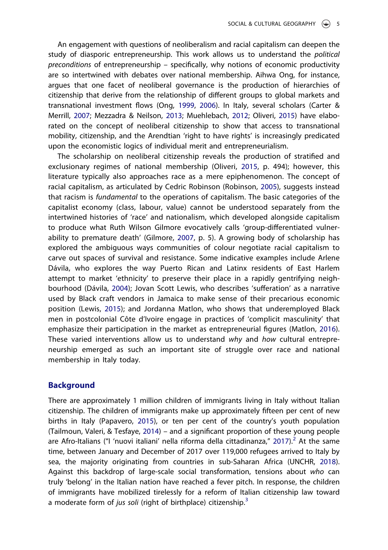An engagement with questions of neoliberalism and racial capitalism can deepen the study of diasporic entrepreneurship. This work allows us to understand the political preconditions of entrepreneurship – specifically, why notions of economic productivity are so intertwined with debates over national membership. Aihwa Ong, for instance, argues that one facet of neoliberal governance is the production of hierarchies of citizenship that derive from the relationship of different groups to global markets and transnational investment flows (Ong, 1999, 2006). In Italy, several scholars (Carter & Merrill, 2007; Mezzadra & Neilson, 2013; Muehlebach, 2012; Oliveri, 2015) have elaborated on the concept of neoliberal citizenship to show that access to transnational mobility, citizenship, and the Arendtian 'right to have rights' is increasingly predicated upon the economistic logics of individual merit and entrepreneurialism.

The scholarship on neoliberal citizenship reveals the production of stratified and exclusionary regimes of national membership (Oliveri, 2015, p. 494); however, this literature typically also approaches race as a mere epiphenomenon. The concept of racial capitalism, as articulated by Cedric Robinson (Robinson, 2005), suggests instead that racism is fundamental to the operations of capitalism. The basic categories of the capitalist economy (class, labour, value) cannot be understood separately from the intertwined histories of 'race' and nationalism, which developed alongside capitalism to produce what Ruth Wilson Gilmore evocatively calls 'group-differentiated vulnerability to premature death' (Gilmore, 2007, p. 5). A growing body of scholarship has explored the ambiguous ways communities of colour negotiate racial capitalism to carve out spaces of survival and resistance. Some indicative examples include Arlene Dávila, who explores the way Puerto Rican and Latinx residents of East Harlem attempt to market 'ethnicity' to preserve their place in a rapidly gentrifying neighbourhood (Dávila, 2004); Jovan Scott Lewis, who describes 'sufferation' as a narrative used by Black craft vendors in Jamaica to make sense of their precarious economic position (Lewis, 2015); and Jordanna Matlon, who shows that underemployed Black men in postcolonial Côte d'Ivoire engage in practices of 'complicit masculinity' that emphasize their participation in the market as entrepreneurial figures (Matlon, 2016). These varied interventions allow us to understand why and how cultural entrepreneurship emerged as such an important site of struggle over race and national membership in Italy today.

### Background

There are approximately 1 million children of immigrants living in Italy without Italian citizenship. The children of immigrants make up approximately fifteen per cent of new births in Italy (Papavero, 2015), or ten per cent of the country's youth population (Tailmoun, Valeri, & Tesfaye, 2014) – and a significant proportion of these young people are Afro-Italians ("I 'nuovi italiani' nella riforma della cittadinanza," 2017).<sup>2</sup> At the same time, between January and December of 2017 over 119,000 refugees arrived to Italy by sea, the majority originating from countries in sub-Saharan Africa (UNCHR, 2018). Against this backdrop of large-scale social transformation, tensions about who can truly 'belong' in the Italian nation have reached a fever pitch. In response, the children of immigrants have mobilized tirelessly for a reform of Italian citizenship law toward a moderate form of jus soli (right of birthplace) citizenship.<sup>3</sup>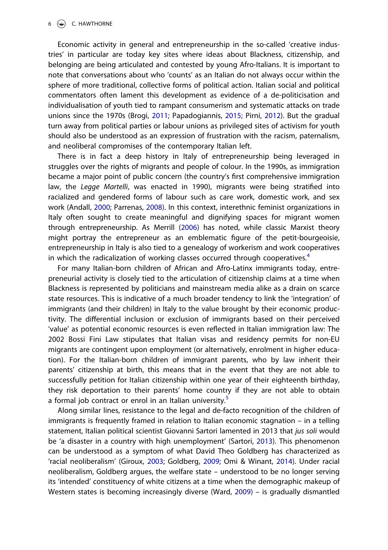Economic activity in general and entrepreneurship in the so-called 'creative industries' in particular are today key sites where ideas about Blackness, citizenship, and belonging are being articulated and contested by young Afro-Italians. It is important to note that conversations about who 'counts' as an Italian do not always occur within the sphere of more traditional, collective forms of political action. Italian social and political commentators often lament this development as evidence of a de-politicisation and individualisation of youth tied to rampant consumerism and systematic attacks on trade unions since the 1970s (Brogi, 2011; Papadogiannis, 2015; Pirni, 2012). But the gradual turn away from political parties or labour unions as privileged sites of activism for youth should also be understood as an expression of frustration with the racism, paternalism, and neoliberal compromises of the contemporary Italian left.

There is in fact a deep history in Italy of entrepreneurship being leveraged in struggles over the rights of migrants and people of colour. In the 1990s, as immigration became a major point of public concern (the country's first comprehensive immigration law, the Legge Martelli, was enacted in 1990), migrants were being stratified into racialized and gendered forms of labour such as care work, domestic work, and sex work (Andall, 2000; Parrenas, 2008). In this context, interethnic feminist organizations in Italy often sought to create meaningful and dignifying spaces for migrant women through entrepreneurship. As Merrill (2006) has noted, while classic Marxist theory might portray the entrepreneur as an emblematic figure of the petit-bourgeoisie, entrepreneurship in Italy is also tied to a genealogy of workerism and work cooperatives in which the radicalization of working classes occurred through cooperatives.<sup>4</sup>

For many Italian-born children of African and Afro-Latinx immigrants today, entrepreneurial activity is closely tied to the articulation of citizenship claims at a time when Blackness is represented by politicians and mainstream media alike as a drain on scarce state resources. This is indicative of a much broader tendency to link the 'integration' of immigrants (and their children) in Italy to the value brought by their economic productivity. The differential inclusion or exclusion of immigrants based on their perceived 'value' as potential economic resources is even reflected in Italian immigration law: The 2002 Bossi Fini Law stipulates that Italian visas and residency permits for non-EU migrants are contingent upon employment (or alternatively, enrolment in higher education). For the Italian-born children of immigrant parents, who by law inherit their parents' citizenship at birth, this means that in the event that they are not able to successfully petition for Italian citizenship within one year of their eighteenth birthday, they risk deportation to their parents' home country if they are not able to obtain a formal job contract or enrol in an Italian university.<sup>5</sup>

Along similar lines, resistance to the legal and de-facto recognition of the children of immigrants is frequently framed in relation to Italian economic stagnation – in a telling statement, Italian political scientist Giovanni Sartori lamented in 2013 that jus soli would be 'a disaster in a country with high unemployment' (Sartori, 2013). This phenomenon can be understood as a symptom of what David Theo Goldberg has characterized as 'racial neoliberalism' (Giroux, 2003; Goldberg, 2009; Omi & Winant, 2014). Under racial neoliberalism, Goldberg argues, the welfare state – understood to be no longer serving its 'intended' constituency of white citizens at a time when the demographic makeup of Western states is becoming increasingly diverse (Ward, 2009) – is gradually dismantled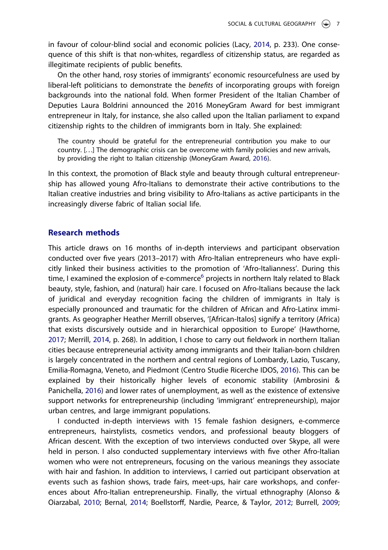in favour of colour-blind social and economic policies (Lacy, 2014, p. 233). One consequence of this shift is that non-whites, regardless of citizenship status, are regarded as illegitimate recipients of public benefits.

On the other hand, rosy stories of immigrants' economic resourcefulness are used by liberal-left politicians to demonstrate the benefits of incorporating groups with foreign backgrounds into the national fold. When former President of the Italian Chamber of Deputies Laura Boldrini announced the 2016 MoneyGram Award for best immigrant entrepreneur in Italy, for instance, she also called upon the Italian parliament to expand citizenship rights to the children of immigrants born in Italy. She explained:

The country should be grateful for the entrepreneurial contribution you make to our country. [. . .] The demographic crisis can be overcome with family policies and new arrivals, by providing the right to Italian citizenship (MoneyGram Award, 2016).

In this context, the promotion of Black style and beauty through cultural entrepreneurship has allowed young Afro-Italians to demonstrate their active contributions to the Italian creative industries and bring visibility to Afro-Italians as active participants in the increasingly diverse fabric of Italian social life.

# Research methods

This article draws on 16 months of in-depth interviews and participant observation conducted over five years (2013–2017) with Afro-Italian entrepreneurs who have explicitly linked their business activities to the promotion of 'Afro-Italianness'. During this time, I examined the explosion of e-commerce<sup>6</sup> projects in northern Italy related to Black beauty, style, fashion, and (natural) hair care. I focused on Afro-Italians because the lack of juridical and everyday recognition facing the children of immigrants in Italy is especially pronounced and traumatic for the children of African and Afro-Latinx immigrants. As geographer Heather Merrill observes, '[African-Italos] signify a territory (Africa) that exists discursively outside and in hierarchical opposition to Europe' (Hawthorne, 2017; Merrill, 2014, p. 268). In addition, I chose to carry out fieldwork in northern Italian cities because entrepreneurial activity among immigrants and their Italian-born children is largely concentrated in the northern and central regions of Lombardy, Lazio, Tuscany, Emilia-Romagna, Veneto, and Piedmont (Centro Studie Ricerche IDOS, 2016). This can be explained by their historically higher levels of economic stability (Ambrosini & Panichella, 2016) and lower rates of unemployment, as well as the existence of extensive support networks for entrepreneurship (including 'immigrant' entrepreneurship), major urban centres, and large immigrant populations.

I conducted in-depth interviews with 15 female fashion designers, e-commerce entrepreneurs, hairstylists, cosmetics vendors, and professional beauty bloggers of African descent. With the exception of two interviews conducted over Skype, all were held in person. I also conducted supplementary interviews with five other Afro-Italian women who were not entrepreneurs, focusing on the various meanings they associate with hair and fashion. In addition to interviews, I carried out participant observation at events such as fashion shows, trade fairs, meet-ups, hair care workshops, and conferences about Afro-Italian entrepreneurship. Finally, the virtual ethnography (Alonso & Oiarzabal, 2010; Bernal, 2014; Boellstorff, Nardie, Pearce, & Taylor, 2012; Burrell, 2009;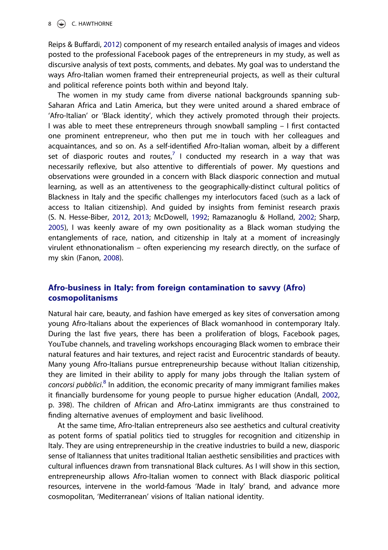Reips & Buffardi, 2012) component of my research entailed analysis of images and videos posted to the professional Facebook pages of the entrepreneurs in my study, as well as discursive analysis of text posts, comments, and debates. My goal was to understand the ways Afro-Italian women framed their entrepreneurial projects, as well as their cultural and political reference points both within and beyond Italy.

The women in my study came from diverse national backgrounds spanning sub-Saharan Africa and Latin America, but they were united around a shared embrace of 'Afro-Italian' or 'Black identity', which they actively promoted through their projects. I was able to meet these entrepreneurs through snowball sampling – I first contacted one prominent entrepreneur, who then put me in touch with her colleagues and acquaintances, and so on. As a self-identified Afro-Italian woman, albeit by a different set of diasporic routes and routes,<sup>7</sup> I conducted my research in a way that was necessarily reflexive, but also attentive to differentials of power. My questions and observations were grounded in a concern with Black diasporic connection and mutual learning, as well as an attentiveness to the geographically-distinct cultural politics of Blackness in Italy and the specific challenges my interlocutors faced (such as a lack of access to Italian citizenship). And guided by insights from feminist research praxis (S. N. Hesse-Biber, 2012, 2013; McDowell, 1992; Ramazanoglu & Holland, 2002; Sharp, 2005), I was keenly aware of my own positionality as a Black woman studying the entanglements of race, nation, and citizenship in Italy at a moment of increasingly virulent ethnonationalism – often experiencing my research directly, on the surface of my skin (Fanon, 2008).

# Afro-business in Italy: from foreign contamination to savvy (Afro) cosmopolitanisms

Natural hair care, beauty, and fashion have emerged as key sites of conversation among young Afro-Italians about the experiences of Black womanhood in contemporary Italy. During the last five years, there has been a proliferation of blogs, Facebook pages, YouTube channels, and traveling workshops encouraging Black women to embrace their natural features and hair textures, and reject racist and Eurocentric standards of beauty. Many young Afro-Italians pursue entrepreneurship because without Italian citizenship, they are limited in their ability to apply for many jobs through the Italian system of concorsi pubblici.<sup>8</sup> In addition, the economic precarity of many immigrant families makes it financially burdensome for young people to pursue higher education (Andall, 2002, p. 398). The children of African and Afro-Latinx immigrants are thus constrained to finding alternative avenues of employment and basic livelihood.

At the same time, Afro-Italian entrepreneurs also see aesthetics and cultural creativity as potent forms of spatial politics tied to struggles for recognition and citizenship in Italy. They are using entrepreneurship in the creative industries to build a new, diasporic sense of Italianness that unites traditional Italian aesthetic sensibilities and practices with cultural influences drawn from transnational Black cultures. As I will show in this section, entrepreneurship allows Afro-Italian women to connect with Black diasporic political resources, intervene in the world-famous 'Made in Italy' brand, and advance more cosmopolitan, 'Mediterranean' visions of Italian national identity.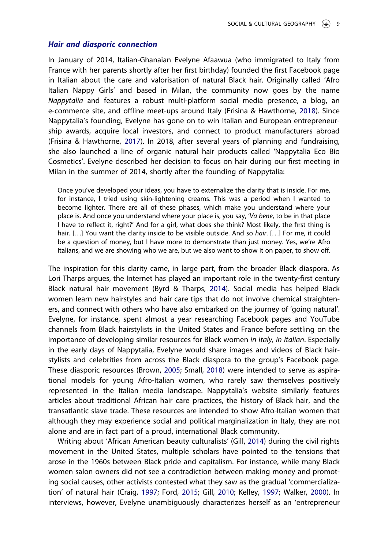### Hair and diasporic connection

In January of 2014, Italian-Ghanaian Evelyne Afaawua (who immigrated to Italy from France with her parents shortly after her first birthday) founded the first Facebook page in Italian about the care and valorisation of natural Black hair. Originally called 'Afro Italian Nappy Girls' and based in Milan, the community now goes by the name Nappytalia and features a robust multi-platform social media presence, a blog, an e-commerce site, and offline meet-ups around Italy (Frisina & Hawthorne, 2018). Since Nappytalia's founding, Evelyne has gone on to win Italian and European entrepreneurship awards, acquire local investors, and connect to product manufacturers abroad (Frisina & Hawthorne, 2017). In 2018, after several years of planning and fundraising, she also launched a line of organic natural hair products called 'Nappytalia Eco Bio Cosmetics'. Evelyne described her decision to focus on hair during our first meeting in Milan in the summer of 2014, shortly after the founding of Nappytalia:

Once you've developed your ideas, you have to externalize the clarity that is inside. For me, for instance, I tried using skin-lightening creams. This was a period when I wanted to become lighter. There are all of these phases, which make you understand where your place is. And once you understand where your place is, you say, 'Va bene, to be in that place I have to reflect it, right?' And for a girl, what does she think? Most likely, the first thing is hair. [...] You want the clarity inside to be visible outside. And so hair. [...] For me, it could be a question of money, but I have more to demonstrate than just money. Yes, we're Afro Italians, and we are showing who we are, but we also want to show it on paper, to show off.

The inspiration for this clarity came, in large part, from the broader Black diaspora. As Lori Tharps argues, the Internet has played an important role in the twenty-first century Black natural hair movement (Byrd & Tharps, 2014). Social media has helped Black women learn new hairstyles and hair care tips that do not involve chemical straighteners, and connect with others who have also embarked on the journey of 'going natural'. Evelyne, for instance, spent almost a year researching Facebook pages and YouTube channels from Black hairstylists in the United States and France before settling on the importance of developing similar resources for Black women in Italy, in Italian. Especially in the early days of Nappytalia, Evelyne would share images and videos of Black hairstylists and celebrities from across the Black diaspora to the group's Facebook page. These diasporic resources (Brown, 2005; Small, 2018) were intended to serve as aspirational models for young Afro-Italian women, who rarely saw themselves positively represented in the Italian media landscape. Nappytalia's website similarly features articles about traditional African hair care practices, the history of Black hair, and the transatlantic slave trade. These resources are intended to show Afro-Italian women that although they may experience social and political marginalization in Italy, they are not alone and are in fact part of a proud, international Black community.

Writing about 'African American beauty culturalists' (Gill, 2014) during the civil rights movement in the United States, multiple scholars have pointed to the tensions that arose in the 1960s between Black pride and capitalism. For instance, while many Black women salon owners did not see a contradiction between making money and promoting social causes, other activists contested what they saw as the gradual 'commercialization' of natural hair (Craig, 1997; Ford, 2015; Gill, 2010; Kelley, 1997; Walker, 2000). In interviews, however, Evelyne unambiguously characterizes herself as an 'entrepreneur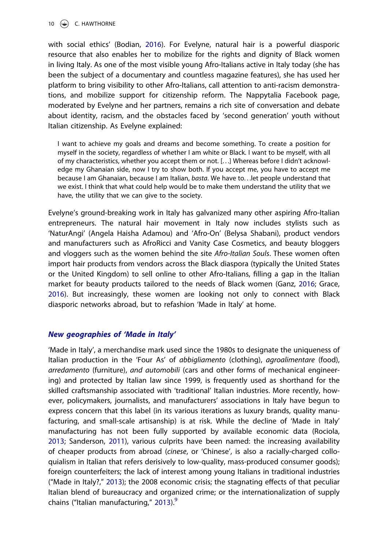with social ethics' (Bodian, 2016). For Evelyne, natural hair is a powerful diasporic resource that also enables her to mobilize for the rights and dignity of Black women in living Italy. As one of the most visible young Afro-Italians active in Italy today (she has been the subject of a documentary and countless magazine features), she has used her platform to bring visibility to other Afro-Italians, call attention to anti-racism demonstrations, and mobilize support for citizenship reform. The Nappytalia Facebook page, moderated by Evelyne and her partners, remains a rich site of conversation and debate about identity, racism, and the obstacles faced by 'second generation' youth without Italian citizenship. As Evelyne explained:

I want to achieve my goals and dreams and become something. To create a position for myself in the society, regardless of whether I am white or Black. I want to be myself, with all of my characteristics, whether you accept them or not. [. . .] Whereas before I didn't acknowledge my Ghanaian side, now I try to show both. If you accept me, you have to accept me because I am Ghanaian, because I am Italian, basta. We have to. . .let people understand that we exist. I think that what could help would be to make them understand the utility that we have, the utility that we can give to the society.

Evelyne's ground-breaking work in Italy has galvanized many other aspiring Afro-Italian entrepreneurs. The natural hair movement in Italy now includes stylists such as 'NaturAngi' (Angela Haisha Adamou) and 'Afro-On' (Belysa Shabani), product vendors and manufacturers such as AfroRicci and Vanity Case Cosmetics, and beauty bloggers and vloggers such as the women behind the site Afro-Italian Souls. These women often import hair products from vendors across the Black diaspora (typically the United States or the United Kingdom) to sell online to other Afro-Italians, filling a gap in the Italian market for beauty products tailored to the needs of Black women (Ganz, 2016; Grace, 2016). But increasingly, these women are looking not only to connect with Black diasporic networks abroad, but to refashion 'Made in Italy' at home.

# New geographies of 'Made in Italy'

'Made in Italy', a merchandise mark used since the 1980s to designate the uniqueness of Italian production in the 'Four As' of abbigliamento (clothing), agroalimentare (food), arredamento (furniture), and automobili (cars and other forms of mechanical engineering) and protected by Italian law since 1999, is frequently used as shorthand for the skilled craftsmanship associated with 'traditional' Italian industries. More recently, however, policymakers, journalists, and manufacturers' associations in Italy have begun to express concern that this label (in its various iterations as luxury brands, quality manufacturing, and small-scale artisanship) is at risk. While the decline of 'Made in Italy' manufacturing has not been fully supported by available economic data (Rociola, 2013; Sanderson, 2011), various culprits have been named: the increasing availability of cheaper products from abroad (cinese, or 'Chinese', is also a racially-charged colloquialism in Italian that refers derisively to low-quality, mass-produced consumer goods); foreign counterfeiters; the lack of interest among young Italians in traditional industries ("Made in Italy?," 2013); the 2008 economic crisis; the stagnating effects of that peculiar Italian blend of bureaucracy and organized crime; or the internationalization of supply chains ("Italian manufacturing," 2013).<sup>9</sup>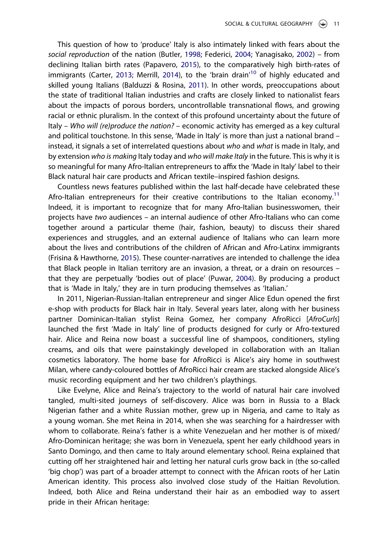This question of how to 'produce' Italy is also intimately linked with fears about the social reproduction of the nation (Butler, 1998; Federici, 2004; Yanagisako, 2002) – from declining Italian birth rates (Papavero, 2015), to the comparatively high birth-rates of immigrants (Carter, 2013; Merrill, 2014), to the 'brain drain'<sup>10</sup> of highly educated and skilled young Italians (Balduzzi & Rosina, 2011). In other words, preoccupations about the state of traditional Italian industries and crafts are closely linked to nationalist fears about the impacts of porous borders, uncontrollable transnational flows, and growing racial or ethnic pluralism. In the context of this profound uncertainty about the future of Italy – Who will (re)produce the nation? – economic activity has emerged as a key cultural and political touchstone. In this sense, 'Made in Italy' is more than just a national brand instead, it signals a set of interrelated questions about who and what is made in Italy, and by extension who is making Italy today and who will make Italy in the future. This is why it is so meaningful for many Afro-Italian entrepreneurs to affix the 'Made in Italy' label to their Black natural hair care products and African textile–inspired fashion designs.

Countless news features published within the last half-decade have celebrated these Afro-Italian entrepreneurs for their creative contributions to the Italian economy.<sup>11</sup> Indeed, it is important to recognize that for many Afro-Italian businesswomen, their projects have two audiences – an internal audience of other Afro-Italians who can come together around a particular theme (hair, fashion, beauty) to discuss their shared experiences and struggles, and an external audience of Italians who can learn more about the lives and contributions of the children of African and Afro-Latinx immigrants (Frisina & Hawthorne, 2015). These counter-narratives are intended to challenge the idea that Black people in Italian territory are an invasion, a threat, or a drain on resources – that they are perpetually 'bodies out of place' (Puwar, 2004). By producing a product that is 'Made in Italy,' they are in turn producing themselves as 'Italian.'

In 2011, Nigerian-Russian-Italian entrepreneur and singer Alice Edun opened the first e-shop with products for Black hair in Italy. Several years later, along with her business partner Dominican-Italian stylist Reina Gomez, her company AfroRicci [AfroCurls] launched the first 'Made in Italy' line of products designed for curly or Afro-textured hair. Alice and Reina now boast a successful line of shampoos, conditioners, styling creams, and oils that were painstakingly developed in collaboration with an Italian cosmetics laboratory. The home base for AfroRicci is Alice's airy home in southwest Milan, where candy-coloured bottles of AfroRicci hair cream are stacked alongside Alice's music recording equipment and her two children's playthings.

Like Evelyne, Alice and Reina's trajectory to the world of natural hair care involved tangled, multi-sited journeys of self-discovery. Alice was born in Russia to a Black Nigerian father and a white Russian mother, grew up in Nigeria, and came to Italy as a young woman. She met Reina in 2014, when she was searching for a hairdresser with whom to collaborate. Reina's father is a white Venezuelan and her mother is of mixed/ Afro-Dominican heritage; she was born in Venezuela, spent her early childhood years in Santo Domingo, and then came to Italy around elementary school. Reina explained that cutting off her straightened hair and letting her natural curls grow back in (the so-called 'big chop') was part of a broader attempt to connect with the African roots of her Latin American identity. This process also involved close study of the Haitian Revolution. Indeed, both Alice and Reina understand their hair as an embodied way to assert pride in their African heritage: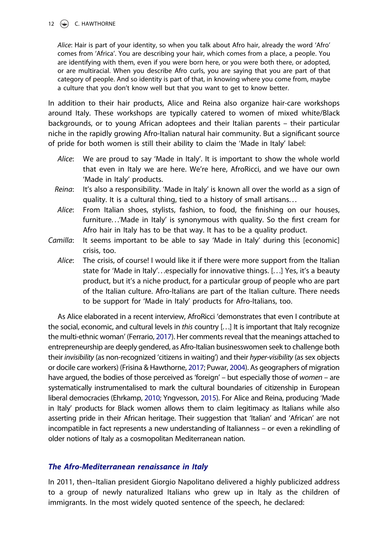### 12  $(\rightarrow)$  C. HAWTHORNE

Alice: Hair is part of your identity, so when you talk about Afro hair, already the word 'Afro' comes from 'Africa'. You are describing your hair, which comes from a place, a people. You are identifying with them, even if you were born here, or you were both there, or adopted, or are multiracial. When you describe Afro curls, you are saying that you are part of that category of people. And so identity is part of that, in knowing where you come from, maybe a culture that you don't know well but that you want to get to know better.

In addition to their hair products, Alice and Reina also organize hair-care workshops around Italy. These workshops are typically catered to women of mixed white/Black backgrounds, or to young African adoptees and their Italian parents – their particular niche in the rapidly growing Afro-Italian natural hair community. But a significant source of pride for both women is still their ability to claim the 'Made in Italy' label:

- Alice: We are proud to say 'Made in Italy'. It is important to show the whole world that even in Italy we are here. We're here, AfroRicci, and we have our own 'Made in Italy' products.
- Reina: It's also a responsibility. 'Made in Italy' is known all over the world as a sign of quality. It is a cultural thing, tied to a history of small artisans. . .
- Alice: From Italian shoes, stylists, fashion, to food, the finishing on our houses, furniture...'Made in Italy' is synonymous with quality. So the first cream for Afro hair in Italy has to be that way. It has to be a quality product.
- Camilla: It seems important to be able to say 'Made in Italy' during this [economic] crisis, too.
	- Alice: The crisis, of course! I would like it if there were more support from the Italian state for 'Made in Italy'...especially for innovative things. [...] Yes, it's a beauty product, but it's a niche product, for a particular group of people who are part of the Italian culture. Afro-Italians are part of the Italian culture. There needs to be support for 'Made in Italy' products for Afro-Italians, too.

As Alice elaborated in a recent interview, AfroRicci 'demonstrates that even I contribute at the social, economic, and cultural levels in this country [. . .] It is important that Italy recognize the multi-ethnic woman' (Ferrario, 2017). Her comments reveal that the meanings attached to entrepreneurship are deeply gendered, as Afro-Italian businesswomen seek to challenge both their invisibility (as non-recognized 'citizens in waiting') and their hyper-visibility (as sex objects or docile care workers) (Frisina & Hawthorne, 2017; Puwar, 2004). As geographers of migration have argued, the bodies of those perceived as 'foreign' – but especially those of women – are systematically instrumentalised to mark the cultural boundaries of citizenship in European liberal democracies (Ehrkamp, 2010; Yngvesson, 2015). For Alice and Reina, producing 'Made in Italy' products for Black women allows them to claim legitimacy as Italians while also asserting pride in their African heritage. Their suggestion that 'Italian' and 'African' are not incompatible in fact represents a new understanding of Italianness – or even a rekindling of older notions of Italy as a cosmopolitan Mediterranean nation.

# The Afro-Mediterranean renaissance in Italy

In 2011, then–Italian president Giorgio Napolitano delivered a highly publicized address to a group of newly naturalized Italians who grew up in Italy as the children of immigrants. In the most widely quoted sentence of the speech, he declared: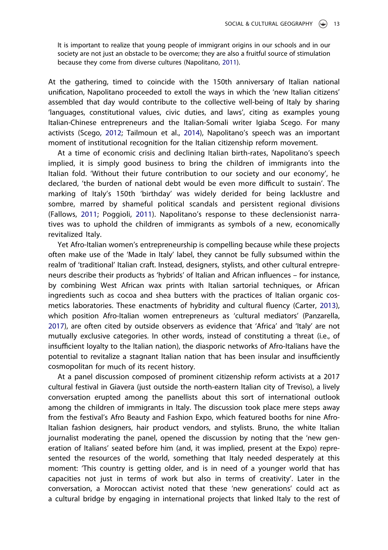It is important to realize that young people of immigrant origins in our schools and in our society are not just an obstacle to be overcome; they are also a fruitful source of stimulation because they come from diverse cultures (Napolitano, 2011).

At the gathering, timed to coincide with the 150th anniversary of Italian national unification, Napolitano proceeded to extoll the ways in which the 'new Italian citizens' assembled that day would contribute to the collective well-being of Italy by sharing 'languages, constitutional values, civic duties, and laws', citing as examples young Italian-Chinese entrepreneurs and the Italian-Somali writer Igiaba Scego. For many activists (Scego, 2012; Tailmoun et al., 2014), Napolitano's speech was an important moment of institutional recognition for the Italian citizenship reform movement.

At a time of economic crisis and declining Italian birth-rates, Napolitano's speech implied, it is simply good business to bring the children of immigrants into the Italian fold. 'Without their future contribution to our society and our economy', he declared, 'the burden of national debt would be even more difficult to sustain'. The marking of Italy's 150th 'birthday' was widely derided for being lacklustre and sombre, marred by shameful political scandals and persistent regional divisions (Fallows, 2011; Poggioli, 2011). Napolitano's response to these declensionist narratives was to uphold the children of immigrants as symbols of a new, economically revitalized Italy.

Yet Afro-Italian women's entrepreneurship is compelling because while these projects often make use of the 'Made in Italy' label, they cannot be fully subsumed within the realm of 'traditional' Italian craft. Instead, designers, stylists, and other cultural entrepreneurs describe their products as 'hybrids' of Italian and African influences – for instance, by combining West African wax prints with Italian sartorial techniques, or African ingredients such as cocoa and shea butters with the practices of Italian organic cosmetics laboratories. These enactments of hybridity and cultural fluency (Carter, 2013), which position Afro-Italian women entrepreneurs as 'cultural mediators' (Panzarella, 2017), are often cited by outside observers as evidence that 'Africa' and 'Italy' are not mutually exclusive categories. In other words, instead of constituting a threat (i.e., of insufficient loyalty to the Italian nation), the diasporic networks of Afro-Italians have the potential to revitalize a stagnant Italian nation that has been insular and insufficiently cosmopolitan for much of its recent history.

At a panel discussion composed of prominent citizenship reform activists at a 2017 cultural festival in Giavera (just outside the north-eastern Italian city of Treviso), a lively conversation erupted among the panellists about this sort of international outlook among the children of immigrants in Italy. The discussion took place mere steps away from the festival's Afro Beauty and Fashion Expo, which featured booths for nine Afro-Italian fashion designers, hair product vendors, and stylists. Bruno, the white Italian journalist moderating the panel, opened the discussion by noting that the 'new generation of Italians' seated before him (and, it was implied, present at the Expo) represented the resources of the world, something that Italy needed desperately at this moment: 'This country is getting older, and is in need of a younger world that has capacities not just in terms of work but also in terms of creativity'. Later in the conversation, a Moroccan activist noted that these 'new generations' could act as a cultural bridge by engaging in international projects that linked Italy to the rest of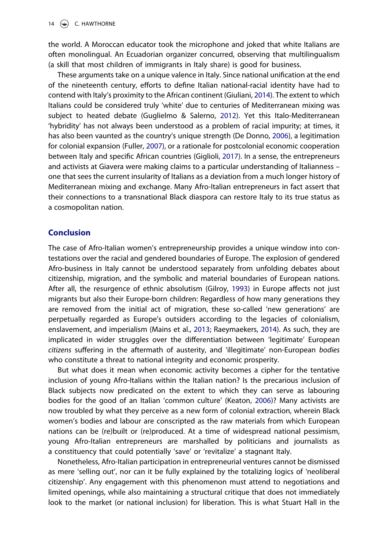the world. A Moroccan educator took the microphone and joked that white Italians are often monolingual. An Ecuadorian organizer concurred, observing that multilingualism (a skill that most children of immigrants in Italy share) is good for business.

These arguments take on a unique valence in Italy. Since national unification at the end of the nineteenth century, efforts to define Italian national-racial identity have had to contend with Italy's proximity to the African continent (Giuliani, 2014). The extent to which Italians could be considered truly 'white' due to centuries of Mediterranean mixing was subject to heated debate (Guglielmo & Salerno, 2012). Yet this Italo-Mediterranean 'hybridity' has not always been understood as a problem of racial impurity; at times, it has also been vaunted as the country's unique strength (De Donno, 2006), a legitimation for colonial expansion (Fuller, 2007), or a rationale for postcolonial economic cooperation between Italy and specific African countries (Giglioli, 2017). In a sense, the entrepreneurs and activists at Giavera were making claims to a particular understanding of Italianness – one that sees the current insularity of Italians as a deviation from a much longer history of Mediterranean mixing and exchange. Many Afro-Italian entrepreneurs in fact assert that their connections to a transnational Black diaspora can restore Italy to its true status as a cosmopolitan nation.

# Conclusion

The case of Afro-Italian women's entrepreneurship provides a unique window into contestations over the racial and gendered boundaries of Europe. The explosion of gendered Afro-business in Italy cannot be understood separately from unfolding debates about citizenship, migration, and the symbolic and material boundaries of European nations. After all, the resurgence of ethnic absolutism (Gilroy, 1993) in Europe affects not just migrants but also their Europe-born children: Regardless of how many generations they are removed from the initial act of migration, these so-called 'new generations' are perpetually regarded as Europe's outsiders according to the legacies of colonialism, enslavement, and imperialism (Mains et al., 2013; Raeymaekers, 2014). As such, they are implicated in wider struggles over the differentiation between 'legitimate' European citizens suffering in the aftermath of austerity, and 'illegitimate' non-European bodies who constitute a threat to national integrity and economic prosperity.

But what does it mean when economic activity becomes a cipher for the tentative inclusion of young Afro-Italians within the Italian nation? Is the precarious inclusion of Black subjects now predicated on the extent to which they can serve as labouring bodies for the good of an Italian 'common culture' (Keaton, 2006)? Many activists are now troubled by what they perceive as a new form of colonial extraction, wherein Black women's bodies and labour are conscripted as the raw materials from which European nations can be (re)built or (re)produced. At a time of widespread national pessimism, young Afro-Italian entrepreneurs are marshalled by politicians and journalists as a constituency that could potentially 'save' or 'revitalize' a stagnant Italy.

Nonetheless, Afro-Italian participation in entrepreneurial ventures cannot be dismissed as mere 'selling out', nor can it be fully explained by the totalizing logics of 'neoliberal citizenship'. Any engagement with this phenomenon must attend to negotiations and limited openings, while also maintaining a structural critique that does not immediately look to the market (or national inclusion) for liberation. This is what Stuart Hall in the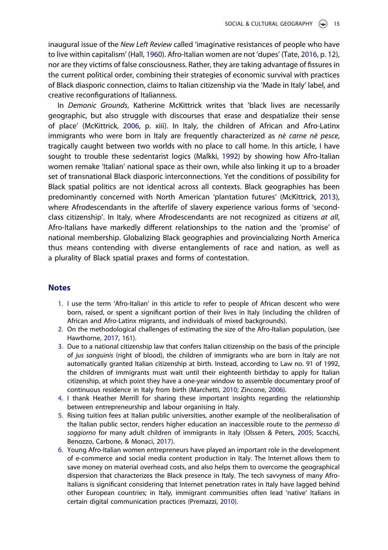inaugural issue of the New Left Review called 'imaginative resistances of people who have to live within capitalism' (Hall, 1960). Afro-Italian women are not 'dupes' (Tate, 2016, p. 12), nor are they victims of false consciousness. Rather, they are taking advantage of fissures in the current political order, combining their strategies of economic survival with practices of Black diasporic connection, claims to Italian citizenship via the 'Made in Italy' label, and creative reconfigurations of Italianness.

In Demonic Grounds, Katherine McKittrick writes that 'black lives are necessarily geographic, but also struggle with discourses that erase and despatialize their sense of place' (McKittrick, 2006, p. xiii). In Italy, the children of African and Afro-Latinx immigrants who were born in Italy are frequently characterized as nè carne nè pesce, tragically caught between two worlds with no place to call home. In this article, I have sought to trouble these sedentarist logics (Malkki, 1992) by showing how Afro-Italian women remake 'Italian' national space as their own, while also linking it up to a broader set of transnational Black diasporic interconnections. Yet the conditions of possibility for Black spatial politics are not identical across all contexts. Black geographies has been predominantly concerned with North American 'plantation futures' (McKittrick, 2013), where Afrodescendants in the afterlife of slavery experience various forms of 'secondclass citizenship'. In Italy, where Afrodescendants are not recognized as citizens at all, Afro-Italians have markedly different relationships to the nation and the 'promise' of national membership. Globalizing Black geographies and provincializing North America thus means contending with diverse entanglements of race and nation, as well as a plurality of Black spatial praxes and forms of contestation.

# **Notes**

- 1. I use the term 'Afro-Italian' in this article to refer to people of African descent who were born, raised, or spent a significant portion of their lives in Italy (including the children of African and Afro-Latinx migrants, and individuals of mixed backgrounds).
- 2. On the methodological challenges of estimating the size of the Afro-Italian population, (see Hawthorne, 2017, 161).
- 3. Due to a national citizenship law that confers Italian citizenship on the basis of the principle of jus sanguinis (right of blood), the children of immigrants who are born in Italy are not automatically granted Italian citizenship at birth. Instead, according to Law no. 91 of 1992, the children of immigrants must wait until their eighteenth birthday to apply for Italian citizenship, at which point they have a one-year window to assemble documentary proof of continuous residence in Italy from birth (Marchetti, 2010; Zincone, 2006).
- 4. I thank Heather Merrill for sharing these important insights regarding the relationship between entrepreneurship and labour organising in Italy.
- 5. Rising tuition fees at Italian public universities, another example of the neoliberalisation of the Italian public sector, renders higher education an inaccessible route to the *permesso di* soggiorno for many adult children of immigrants in Italy (Olssen & Peters, 2005; Scacchi, Benozzo, Carbone, & Monaci, 2017).
- 6. Young Afro-Italian women entrepreneurs have played an important role in the development of e-commerce and social media content production in Italy. The Internet allows them to save money on material overhead costs, and also helps them to overcome the geographical dispersion that characterizes the Black presence in Italy. The tech savvyness of many Afro-Italians is significant considering that Internet penetration rates in Italy have lagged behind other European countries; in Italy, immigrant communities often lead 'native' Italians in certain digital communication practices (Premazzi, 2010).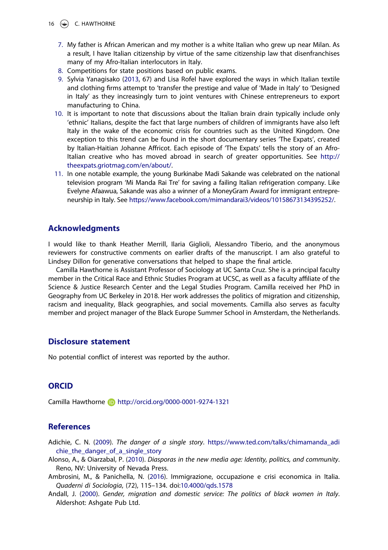### 16  $(\rightarrow)$  C. HAWTHORNE

- 7. My father is African American and my mother is a white Italian who grew up near Milan. As a result, I have Italian citizenship by virtue of the same citizenship law that disenfranchises many of my Afro-Italian interlocutors in Italy.
- 8. Competitions for state positions based on public exams.
- 9. Sylvia Yanagisako (2013, 67) and Lisa Rofel have explored the ways in which Italian textile and clothing firms attempt to 'transfer the prestige and value of 'Made in Italy' to 'Designed in Italy' as they increasingly turn to joint ventures with Chinese entrepreneurs to export manufacturing to China.
- 10. It is important to note that discussions about the Italian brain drain typically include only 'ethnic' Italians, despite the fact that large numbers of children of immigrants have also left Italy in the wake of the economic crisis for countries such as the United Kingdom. One exception to this trend can be found in the short documentary series 'The Expats', created by Italian-Haitian Johanne Affricot. Each episode of 'The Expats' tells the story of an Afro-Italian creative who has moved abroad in search of greater opportunities. See http:// theexpats.griotmag.com/en/about/.
- 11. In one notable example, the young Burkinabe Madi Sakande was celebrated on the national television program 'Mi Manda Rai Tre' for saving a failing Italian refrigeration company. Like Evelyne Afaawua, Sakande was also a winner of a MoneyGram Award for immigrant entrepreneurship in Italy. See https://www.facebook.com/mimandarai3/videos/10158673134395252/.

# Acknowledgments

I would like to thank Heather Merrill, Ilaria Giglioli, Alessandro Tiberio, and the anonymous reviewers for constructive comments on earlier drafts of the manuscript. I am also grateful to Lindsey Dillon for generative conversations that helped to shape the final article.

Camilla Hawthorne is Assistant Professor of Sociology at UC Santa Cruz. She is a principal faculty member in the Critical Race and Ethnic Studies Program at UCSC, as well as a faculty affiliate of the Science & Justice Research Center and the Legal Studies Program. Camilla received her PhD in Geography from UC Berkeley in 2018. Her work addresses the politics of migration and citizenship, racism and inequality, Black geographies, and social movements. Camilla also serves as faculty member and project manager of the Black Europe Summer School in Amsterdam, the Netherlands.

# Disclosure statement

No potential conflict of interest was reported by the author.

## **ORCID**

Camilla Hawthorne **http://orcid.org/0000-0001-9274-1321** 

# References

Adichie, C. N. (2009). The danger of a single story. https://www.ted.com/talks/chimamanda\_adi chie\_the\_danger\_of\_a\_single\_story

- Alonso, A., & Oiarzabal, P. (2010). Diasporas in the new media age: Identity, politics, and community. Reno, NV: University of Nevada Press.
- Ambrosini, M., & Panichella, N. (2016). Immigrazione, occupazione e crisi economica in Italia. Quaderni di Sociologia, (72), 115–134. doi:10.4000/qds.1578
- Andall, J. (2000). Gender, migration and domestic service: The politics of black women in Italy. Aldershot: Ashgate Pub Ltd.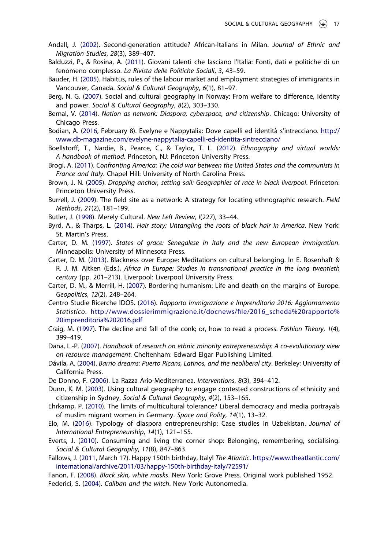- Andall, J. (2002). Second-generation attitude? African-Italians in Milan. Journal of Ethnic and Migration Studies, 28(3), 389–407.
- Balduzzi, P., & Rosina, A. (2011). Giovani talenti che lasciano l'Italia: Fonti, dati e politiche di un fenomeno complesso. La Rivista delle Politiche Sociali, 3, 43–59.
- Bauder, H. (2005). Habitus, rules of the labour market and employment strategies of immigrants in Vancouver, Canada. Social & Cultural Geography, 6(1), 81–97.
- Berg, N. G. (2007). Social and cultural geography in Norway: From welfare to difference, identity and power. Social & Cultural Geography, 8(2), 303–330.
- Bernal, V. (2014). Nation as network: Diaspora, cyberspace, and citizenship. Chicago: University of Chicago Press.
- Bodian, A. (2016, February 8). Evelyne e Nappytalia: Dove capelli ed identità s'intrecciano. http:// www.db-magazine.com/evelyne-nappytalia-capelli-ed-identita-sintrecciano/
- Boellstorff, T., Nardie, B., Pearce, C., & Taylor, T. L. (2012). Ethnography and virtual worlds: A handbook of method. Princeton, NJ: Princeton University Press.
- Brogi, A. (2011). Confronting America: The cold war between the United States and the communists in France and Italy. Chapel Hill: University of North Carolina Press.
- Brown, J. N. (2005). Dropping anchor, setting sail: Geographies of race in black liverpool. Princeton: Princeton University Press.
- Burrell, J. (2009). The field site as a network: A strategy for locating ethnographic research. Field Methods, 21(2), 181–199.
- Butler, J. (1998). Merely Cultural. New Left Review, I(227), 33–44.
- Byrd, A., & Tharps, L. (2014). Hair story: Untangling the roots of black hair in America. New York: St. Martin's Press.
- Carter, D. M. (1997). States of grace: Senegalese in Italy and the new European immigration. Minneapolis: University of Minnesota Press.
- Carter, D. M. (2013). Blackness over Europe: Meditations on cultural belonging. In E. Rosenhaft & R. J. M. Aitken (Eds.), Africa in Europe: Studies in transnational practice in the long twentieth century (pp. 201–213). Liverpool: Liverpool University Press.
- Carter, D. M., & Merrill, H. (2007). Bordering humanism: Life and death on the margins of Europe. Geopolitics, 12(2), 248–264.
- Centro Studie Ricerche IDOS. (2016). Rapporto Immigrazione e Imprenditoria 2016: Aggiornamento Statistico. http://www.dossierimmigrazione.it/docnews/file/2016\_scheda%20rapporto% 20imprenditoria%202016.pdf
- Craig, M. (1997). The decline and fall of the conk; or, how to read a process. Fashion Theory, 1(4), 399–419.
- Dana, L.-P. (2007). Handbook of research on ethnic minority entrepreneurship: A co-evolutionary view on resource management. Cheltenham: Edward Elgar Publishing Limited.
- Dávila, A. (2004). Barrio dreams: Puerto Ricans, Latinos, and the neoliberal city. Berkeley: University of California Press.
- De Donno, F. (2006). La Razza Ario-Mediterranea. Interventions, 8(3), 394–412.
- Dunn, K. M. (2003). Using cultural geography to engage contested constructions of ethnicity and citizenship in Sydney. Social & Cultural Geography, 4(2), 153–165.
- Ehrkamp, P. (2010). The limits of multicultural tolerance? Liberal democracy and media portrayals of muslim migrant women in Germany. Space and Polity, 14(1), 13–32.
- Elo, M. (2016). Typology of diaspora entrepreneurship: Case studies in Uzbekistan. Journal of International Entrepreneurship, 14(1), 121–155.
- Everts, J. (2010). Consuming and living the corner shop: Belonging, remembering, socialising. Social & Cultural Geography, 11(8), 847–863.
- Fallows, J. (2011, March 17). Happy 150th birthday, Italy! The Atlantic. https://www.theatlantic.com/ international/archive/2011/03/happy-150th-birthday-italy/72591/

Fanon, F. (2008). Black skin, white masks. New York: Grove Press. Original work published 1952.

Federici, S. (2004). Caliban and the witch. New York: Autonomedia.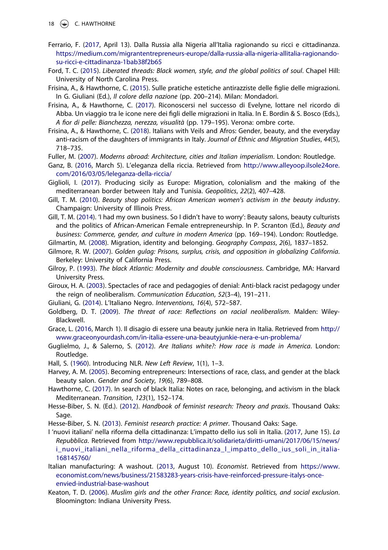- $\left(\bigstar\right)$  C. HAWTHORNE
- Ferrario, F. (2017, April 13). Dalla Russia alla Nigeria all'Italia ragionando su ricci e cittadinanza. https://medium.com/migrantentrepreneurs-europe/dalla-russia-alla-nigeria-allitalia-ragionandosu-ricci-e-cittadinanza-1bab38f2b65
- Ford, T. C. (2015). Liberated threads: Black women, style, and the global politics of soul. Chapel Hill: University of North Carolina Press.
- Frisina, A., & Hawthorne, C. (2015). Sulle pratiche estetiche antirazziste delle figlie delle migrazioni. In G. Giuliani (Ed.), Il colore della nazione (pp. 200–214). Milan: Mondadori.
- Frisina, A., & Hawthorne, C. (2017). Riconoscersi nel successo di Evelyne, lottare nel ricordo di Abba. Un viaggio tra le icone nere dei figli delle migrazioni in Italia. In E. Bordin & S. Bosco (Eds.), A fior di pelle: Bianchezza, nerezza, visualità (pp. 179–195). Verona: ombre corte.
- Frisina, A., & Hawthorne, C. (2018). Italians with Veils and Afros: Gender, beauty, and the everyday anti-racism of the daughters of immigrants in Italy. Journal of Ethnic and Migration Studies, 44(5), 718–735.
- Fuller, M. (2007). Moderns abroad: Architecture, cities and Italian imperialism. London: Routledge.
- Ganz, B. (2016, March 5). L'eleganza della riccia. Retrieved from http://www.alleyoop.ilsole24ore. com/2016/03/05/leleganza-della-riccia/
- Giglioli, I. (2017). Producing sicily as Europe: Migration, colonialism and the making of the mediterranean border between Italy and Tunisia. Geopolitics, 22(2), 407–428.
- Gill, T. M. (2010). Beauty shop politics: African American women's activism in the beauty industry. Champaign: University of Illinois Press.
- Gill, T. M. (2014). 'I had my own business. So I didn't have to worry': Beauty salons, beauty culturists and the politics of African-American Female entrepreneurship. In P. Scranton (Ed.), Beauty and business: Commerce, gender, and culture in modern America (pp. 169–194). London: Routledge.
- Gilmartin, M. (2008). Migration, identity and belonging. Geography Compass, 2(6), 1837–1852.
- Gilmore, R. W. (2007). Golden gulag: Prisons, surplus, crisis, and opposition in globalizing California. Berkeley: University of California Press.
- Gilroy, P. (1993). The black Atlantic: Modernity and double consciousness. Cambridge, MA: Harvard University Press.
- Giroux, H. A. (2003). Spectacles of race and pedagogies of denial: Anti-black racist pedagogy under the reign of neoliberalism. Communication Education, 52(3–4), 191–211.
- Giuliani, G. (2014). L'Italiano Negro. Interventions, 16(4), 572–587.
- Goldberg, D. T. (2009). The threat of race: Reflections on racial neoliberalism. Malden: Wiley-Blackwell.
- Grace, L. (2016, March 1). Il disagio di essere una beauty junkie nera in Italia. Retrieved from http:// www.graceonyourdash.com/in-italia-essere-una-beautyjunkie-nera-e-un-problema/
- Guglielmo, J., & Salerno, S. (2012). Are Italians white?: How race is made in America. London: Routledge.
- Hall, S. (1960). Introducing NLR. New Left Review, 1(1), 1–3.
- Harvey, A. M. (2005). Becoming entrepreneurs: Intersections of race, class, and gender at the black beauty salon. Gender and Society, 19(6), 789–808.
- Hawthorne, C. (2017). In search of black Italia: Notes on race, belonging, and activism in the black Mediterranean. Transition, 123(1), 152–174.
- Hesse-Biber, S. N. (Ed.). (2012). Handbook of feminist research: Theory and praxis. Thousand Oaks: Sage.
- Hesse-Biber, S. N. (2013). Feminist research practice: A primer. Thousand Oaks: Sage.
- I 'nuovi italiani' nella riforma della cittadinanza: L'impatto dello ius soli in Italia. (2017, June 15). La Repubblica. Retrieved from http://www.repubblica.it/solidarieta/diritti-umani/2017/06/15/news/ i\_nuovi\_italiani\_nella\_riforma\_della\_cittadinanza\_l\_impatto\_dello\_ius\_soli\_in\_italia-168145760/
- Italian manufacturing: A washout. (2013, August 10). Economist. Retrieved from https://www. economist.com/news/business/21583283-years-crisis-have-reinforced-pressure-italys-onceenvied-industrial-base-washout
- Keaton, T. D. (2006). Muslim girls and the other France: Race, identity politics, and social exclusion. Bloomington: Indiana University Press.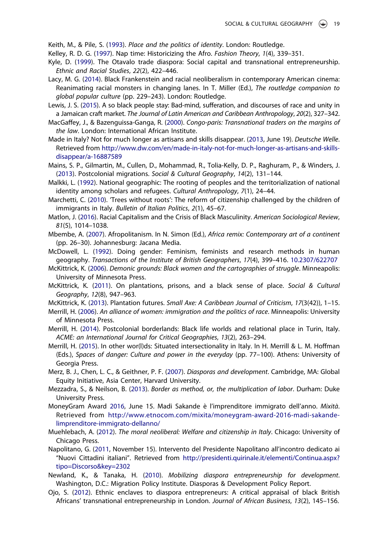Keith, M., & Pile, S. (1993). Place and the politics of identity. London: Routledge.

- Kelley, R. D. G. (1997). Nap time: Historicizing the Afro. Fashion Theory, 1(4), 339–351.
- Kyle, D. (1999). The Otavalo trade diaspora: Social capital and transnational entrepreneurship. Ethnic and Racial Studies, 22(2), 422–446.
- Lacy, M. G. (2014). Black Frankenstein and racial neoliberalism in contemporary American cinema: Reanimating racial monsters in changing lanes. In T. Miller (Ed.), The routledge companion to global popular culture (pp. 229–243). London: Routledge.
- Lewis, J. S. (2015). A so black people stay: Bad-mind, sufferation, and discourses of race and unity in a Jamaican craft market. The Journal of Latin American and Caribbean Anthropology, 20(2), 327–342.
- MacGaffey, J., & Bazenguissa-Ganga, R. (2000). Congo-paris: Transnational traders on the margins of the law. London: International African Institute.
- Made in Italy? Not for much longer as artisans and skills disappear. (2013, June 19). Deutsche Welle. Retrieved from http://www.dw.com/en/made-in-italy-not-for-much-longer-as-artisans-and-skillsdisappear/a-16887589
- Mains, S. P., Gilmartin, M., Cullen, D., Mohammad, R., Tolia-Kelly, D. P., Raghuram, P., & Winders, J. (2013). Postcolonial migrations. Social & Cultural Geography, 14(2), 131–144.
- Malkki, L. (1992). National geographic: The rooting of peoples and the territorialization of national identity among scholars and refugees. Cultural Anthropology, 7(1), 24–44.
- Marchetti, C. (2010). 'Trees without roots': The reform of citizenship challenged by the children of immigrants in Italy. Bulletin of Italian Politics, 2(1), 45–67.
- Matlon, J. (2016). Racial Capitalism and the Crisis of Black Masculinity. American Sociological Review, 81(5), 1014–1038.
- Mbembe, A. (2007). Afropolitanism. In N. Simon (Ed.), Africa remix: Contemporary art of a continent (pp. 26–30). Johannesburg: Jacana Media.
- McDowell, L. (1992). Doing gender: Feminism, feminists and research methods in human geography. Transactions of the Institute of British Geographers, 17(4), 399–416. 10.2307/622707
- McKittrick, K. (2006). Demonic grounds: Black women and the cartographies of struggle. Minneapolis: University of Minnesota Press.
- McKittrick, K. (2011). On plantations, prisons, and a black sense of place. Social & Cultural Geography, 12(8), 947–963.
- McKittrick, K. (2013). Plantation futures. Small Axe: A Caribbean Journal of Criticism, 17(3(42)), 1–15.
- Merrill, H. (2006). An alliance of women: immigration and the politics of race. Minneapolis: University of Minnesota Press.
- Merrill, H. (2014). Postcolonial borderlands: Black life worlds and relational place in Turin, Italy. ACME: an International Journal for Critical Geographies, 13(2), 263–294.
- Merrill, H. (2015). In other wor(l)ds: Situated intersectionality in Italy. In H. Merrill & L. M. Hoffman (Eds.), Spaces of danger: Culture and power in the everyday (pp. 77–100). Athens: University of Georgia Press.
- Merz, B. J., Chen, L. C., & Geithner, P. F. (2007). Diasporas and development. Cambridge, MA: Global Equity Initiative, Asia Center, Harvard University.
- Mezzadra, S., & Neilson, B. (2013). Border as method, or, the multiplication of labor. Durham: Duke University Press.
- MoneyGram Award 2016, June 15. Madi Sakande è l'imprenditore immigrato dell'anno. Mixità. Retrieved from http://www.etnocom.com/mixita/moneygram-award-2016-madi-sakandelimprenditore-immigrato-dellanno/
- Muehlebach, A. (2012). The moral neoliberal: Welfare and citizenship in Italy. Chicago: University of Chicago Press.
- Napolitano, G. (2011, November 15). Intervento del Presidente Napolitano all'incontro dedicato ai "Nuovi Cittadini italiani". Retrieved from http://presidenti.quirinale.it/elementi/Continua.aspx? tipo=Discorso&key=2302
- Newland, K., & Tanaka, H. (2010). Mobilizing diaspora entrepreneurship for development. Washington, D.C.: Migration Policy Institute. Diasporas & Development Policy Report.
- Ojo, S. (2012). Ethnic enclaves to diaspora entrepreneurs: A critical appraisal of black British Africans' transnational entrepreneurship in London. Journal of African Business, 13(2), 145–156.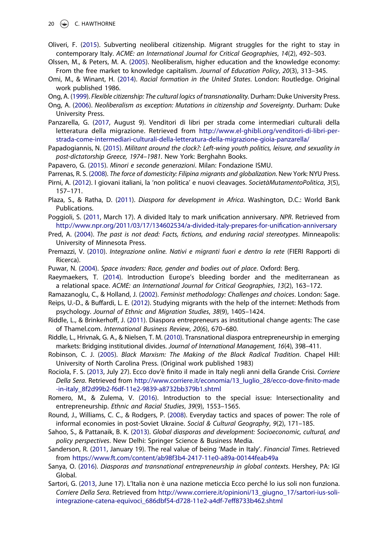20  $\left(\bigstar\right)$  C. HAWTHORNE

- Oliveri, F. (2015). Subverting neoliberal citizenship. Migrant struggles for the right to stay in contemporary Italy. ACME: an International Journal for Critical Geographies, 14(2), 492–503.
- Olssen, M., & Peters, M. A. (2005). Neoliberalism, higher education and the knowledge economy: From the free market to knowledge capitalism. Journal of Education Policy, 20(3), 313–345.
- Omi, M., & Winant, H. (2014). Racial formation in the United States. London: Routledge. Original work published 1986.

Ong, A. (1999). Flexible citizenship: The cultural logics of transnationality. Durham: Duke University Press.

Ong, A. (2006). Neoliberalism as exception: Mutations in citizenship and Sovereignty. Durham: Duke University Press.

Panzarella, G. (2017, August 9). Venditori di libri per strada come intermediari culturali della letteratura della migrazione. Retrieved from http://www.el-ghibli.org/venditori-di-libri-perstrada-come-intermediari-culturali-della-letteratura-della-migrazione-gioia-panzarella/

Papadogiannis, N. (2015). Militant around the clock?: Left-wing youth politics, leisure, and sexuality in post-dictatorship Greece, 1974–1981. New York: Berghahn Books.

Papavero, G. (2015). Minori e seconde generazioni. Milan: Fondazione ISMU.

Parrenas, R. S. (2008). The force of domesticity: Filipina migrants and globalization. New York: NYU Press.

Pirni, A. (2012). I giovani italiani, la 'non politica' e nuovi cleavages. SocietàMutamentoPolitica, 3(5), 157–171.

- Plaza, S., & Ratha, D. (2011). Diaspora for development in Africa. Washington, D.C.: World Bank Publications.
- Poggioli, S. (2011, March 17). A divided Italy to mark unification anniversary. NPR. Retrieved from http://www.npr.org/2011/03/17/134602534/a-divided-italy-prepares-for-unification-anniversary

Pred, A. (2004). The past is not dead: Facts, fictions, and enduring racial stereotypes. Minneapolis: University of Minnesota Press.

- Premazzi, V. (2010). Integrazione online. Nativi e migranti fuori e dentro la rete (FIERI Rapporti di Ricerca).
- Puwar, N. (2004). Space invaders: Race, gender and bodies out of place. Oxford: Berg.

Raeymaekers, T. (2014). Introduction Europe's bleeding border and the mediterranean as a relational space. ACME: an International Journal for Critical Geographies, 13(2), 163–172.

- Ramazanoglu, C., & Holland, J. (2002). Feminist methodology: Challenges and choices. London: Sage. Reips, U.-D., & Buffardi, L. E. (2012). Studying migrants with the help of the internet: Methods from psychology. Journal of Ethnic and Migration Studies, 38(9), 1405–1424.
- Riddle, L., & Brinkerhoff, J. (2011). Diaspora entrepreneurs as institutional change agents: The case of Thamel.com. International Business Review, 20(6), 670–680.

Riddle, L., Hrivnak, G. A., & Nielsen, T. M. (2010). Transnational diaspora entrepreneurship in emerging markets: Bridging institutional divides. Journal of International Management, 16(4), 398–411.

- Robinson, C. J. (2005). Black Marxism: The Making of the Black Radical Tradition. Chapel Hill: University of North Carolina Press. (Original work published 1983)
- Rociola, F. S. (2013, July 27). Ecco dov'è finito il made in Italy negli anni della Grande Crisi. Corriere Della Sera. Retrieved from http://www.corriere.it/economia/13\_luglio\_28/ecco-dove-finito-made -in-italy\_8f2d99b2-f6df-11e2-9839-a8732bb379b1.shtml
- Romero, M., & Zulema, V. (2016). Introduction to the special issue: Intersectionality and entrepreneurship. Ethnic and Racial Studies, 39(9), 1553–1565.
- Round, J., Williams, C. C., & Rodgers, P. (2008). Everyday tactics and spaces of power: The role of informal economies in post-Soviet Ukraine. Social & Cultural Geography, 9(2), 171–185.
- Sahoo, S., & Pattanaik, B. K. (2013). Global diasporas and development: Socioeconomic, cultural, and policy perspectives. New Delhi: Springer Science & Business Media.
- Sanderson, R. (2011, January 19). The real value of being 'Made in Italy'. Financial Times. Retrieved from https://www.ft.com/content/ab98f3b4-2417-11e0-a89a-00144feab49a
- Sanya, O. (2016). Diasporas and transnational entrepreneurship in global contexts. Hershey, PA: IGI Global.
- Sartori, G. (2013, June 17). L'Italia non è una nazione meticcia Ecco perché lo ius soli non funziona. Corriere Della Sera. Retrieved from http://www.corriere.it/opinioni/13\_giugno\_17/sartori-ius-soliintegrazione-catena-equivoci\_686dbf54-d728-11e2-a4df-7eff8733b462.shtml